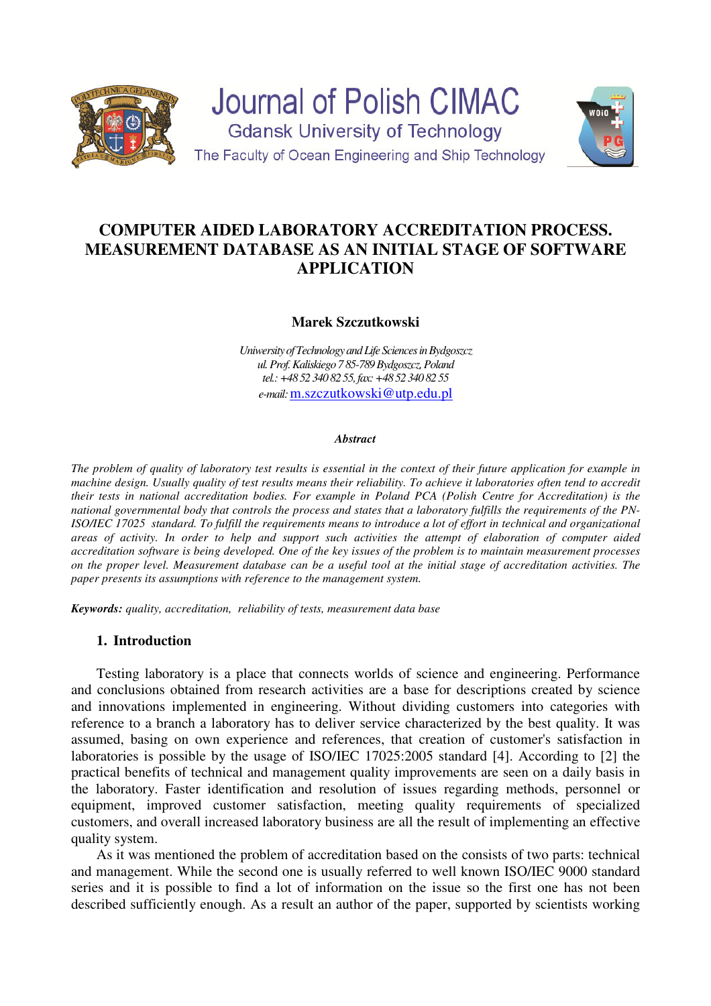

Journal of Polish CIMAC **Gdansk University of Technology** The Faculty of Ocean Engineering and Ship Technology



# **COMPUTER AIDED LABORATORY ACCREDITATION PROCESS. MEASUREMENT DATABASE AS AN INITIAL STAGE OF SOFTWARE APPLICATION**

# **Marek Szczutkowski**

*Uniwersity of Technology and Life Sciences in Bydgoszcz ul. Prof. Kaliskiego 7 85-789 Bydgoszcz, Poland tel.: +48 52 340 82 55, fax: +48 52 340 82 55 e-mail:* m.szczutkowski@utp.edu.pl

#### *Abstract*

*The problem of quality of laboratory test results is essential in the context of their future application for example in machine design. Usually quality of test results means their reliability. To achieve it laboratories often tend to accredit their tests in national accreditation bodies. For example in Poland PCA (Polish Centre for Accreditation) is the national governmental body that controls the process and states that a laboratory fulfills the requirements of the PN-ISO/IEC 17025 standard. To fulfill the requirements means to introduce a lot of effort in technical and organizational areas of activity. In order to help and support such activities the attempt of elaboration of computer aided accreditation software is being developed. One of the key issues of the problem is to maintain measurement processes on the proper level. Measurement database can be a useful tool at the initial stage of accreditation activities. The paper presents its assumptions with reference to the management system.* 

*Keywords: quality, accreditation, reliability of tests, measurement data base* 

## **1. Introduction**

Testing laboratory is a place that connects worlds of science and engineering. Performance and conclusions obtained from research activities are a base for descriptions created by science and innovations implemented in engineering. Without dividing customers into categories with reference to a branch a laboratory has to deliver service characterized by the best quality. It was assumed, basing on own experience and references, that creation of customer's satisfaction in laboratories is possible by the usage of ISO/IEC 17025:2005 standard [4]. According to [2] the practical benefits of technical and management quality improvements are seen on a daily basis in the laboratory. Faster identification and resolution of issues regarding methods, personnel or equipment, improved customer satisfaction, meeting quality requirements of specialized customers, and overall increased laboratory business are all the result of implementing an effective quality system.

As it was mentioned the problem of accreditation based on the consists of two parts: technical and management. While the second one is usually referred to well known ISO/IEC 9000 standard series and it is possible to find a lot of information on the issue so the first one has not been described sufficiently enough. As a result an author of the paper, supported by scientists working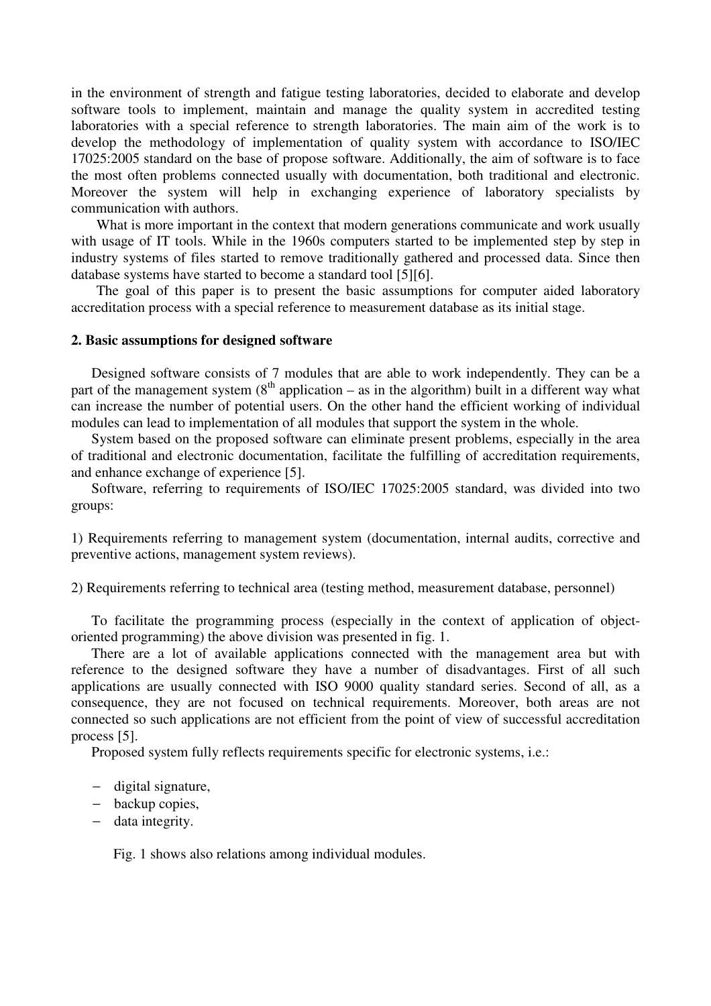in the environment of strength and fatigue testing laboratories, decided to elaborate and develop software tools to implement, maintain and manage the quality system in accredited testing laboratories with a special reference to strength laboratories. The main aim of the work is to develop the methodology of implementation of quality system with accordance to ISO/IEC 17025:2005 standard on the base of propose software. Additionally, the aim of software is to face the most often problems connected usually with documentation, both traditional and electronic. Moreover the system will help in exchanging experience of laboratory specialists by communication with authors.

What is more important in the context that modern generations communicate and work usually with usage of IT tools. While in the 1960s computers started to be implemented step by step in industry systems of files started to remove traditionally gathered and processed data. Since then database systems have started to become a standard tool [5][6].

The goal of this paper is to present the basic assumptions for computer aided laboratory accreditation process with a special reference to measurement database as its initial stage.

#### **2. Basic assumptions for designed software**

Designed software consists of 7 modules that are able to work independently. They can be a part of the management system  $(8<sup>th</sup>$  application – as in the algorithm) built in a different way what can increase the number of potential users. On the other hand the efficient working of individual modules can lead to implementation of all modules that support the system in the whole.

System based on the proposed software can eliminate present problems, especially in the area of traditional and electronic documentation, facilitate the fulfilling of accreditation requirements, and enhance exchange of experience [5].

Software, referring to requirements of ISO/IEC 17025:2005 standard, was divided into two groups:

1) Requirements referring to management system (documentation, internal audits, corrective and preventive actions, management system reviews).

2) Requirements referring to technical area (testing method, measurement database, personnel)

To facilitate the programming process (especially in the context of application of objectoriented programming) the above division was presented in fig. 1.

There are a lot of available applications connected with the management area but with reference to the designed software they have a number of disadvantages. First of all such applications are usually connected with ISO 9000 quality standard series. Second of all, as a consequence, they are not focused on technical requirements. Moreover, both areas are not connected so such applications are not efficient from the point of view of successful accreditation process [5].

Proposed system fully reflects requirements specific for electronic systems, i.e.:

- − digital signature,
- − backup copies,
- − data integrity.

Fig. 1 shows also relations among individual modules.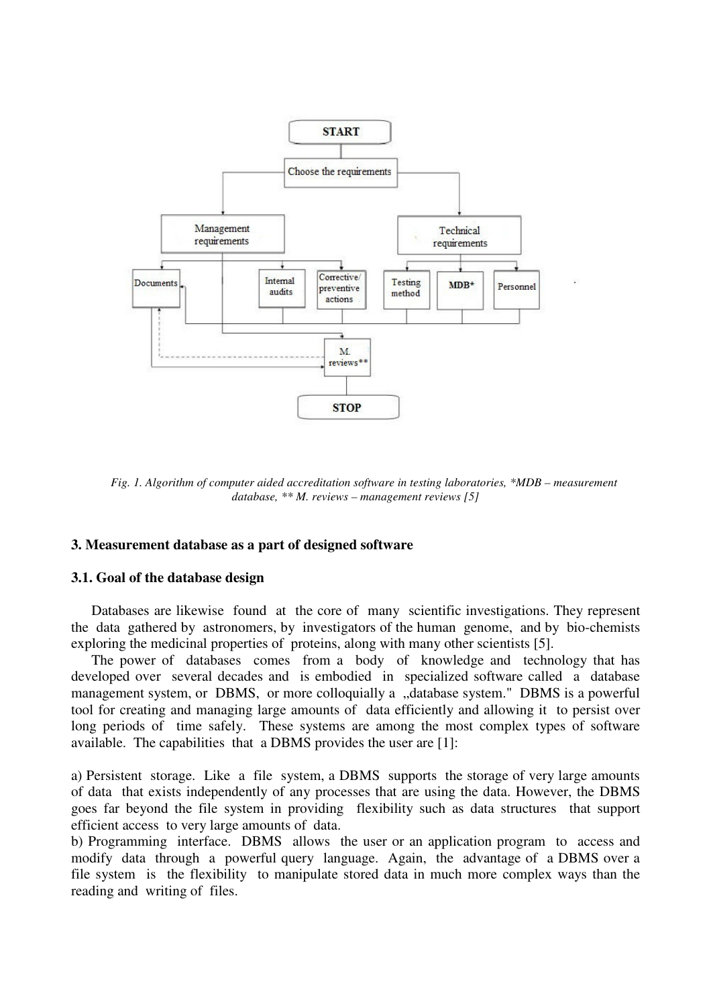

*Fig. 1. Algorithm of computer aided accreditation software in testing laboratories, \*MDB – measurement database, \*\* M. reviews – management reviews [5]* 

#### **3. Measurement database as a part of designed software**

#### **3.1. Goal of the database design**

Databases are likewise found at the core of many scientific investigations. They represent the data gathered by astronomers, by investigators of the human genome, and by bio-chemists exploring the medicinal properties of proteins, along with many other scientists [5].

The power of databases comes from a body of knowledge and technology that has developed over several decades and is embodied in specialized software called a database management system, or DBMS, or more colloquially a "database system." DBMS is a powerful tool for creating and managing large amounts of data efficiently and allowing it to persist over long periods of time safely. These systems are among the most complex types of software available. The capabilities that a DBMS provides the user are [1]:

a) Persistent storage. Like a file system, a DBMS supports the storage of very large amounts of data that exists independently of any processes that are using the data. However, the DBMS goes far beyond the file system in providing flexibility such as data structures that support efficient access to very large amounts of data.

b) Programming interface. DBMS allows the user or an application program to access and modify data through a powerful query language. Again, the advantage of a DBMS over a file system is the flexibility to manipulate stored data in much more complex ways than the reading and writing of files.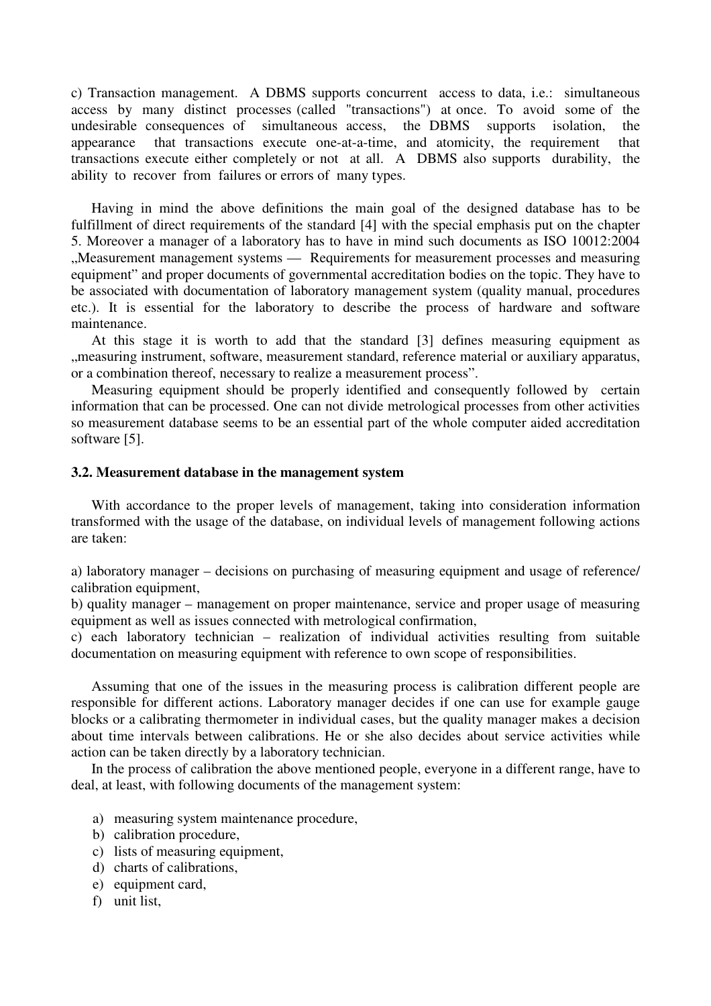c) Transaction management. A DBMS supports concurrent access to data, i.e.: simultaneous access by many distinct processes (called "transactions") at once. To avoid some of the undesirable consequences of simultaneous access, the DBMS supports isolation, the appearance that transactions execute one-at-a-time, and atomicity, the requirement that transactions execute either completely or not at all. A DBMS also supports durability, the ability to recover from failures or errors of many types.

Having in mind the above definitions the main goal of the designed database has to be fulfillment of direct requirements of the standard [4] with the special emphasis put on the chapter 5. Moreover a manager of a laboratory has to have in mind such documents as ISO 10012:2004 "Measurement management systems — Requirements for measurement processes and measuring equipment" and proper documents of governmental accreditation bodies on the topic. They have to be associated with documentation of laboratory management system (quality manual, procedures etc.). It is essential for the laboratory to describe the process of hardware and software maintenance.

At this stage it is worth to add that the standard [3] defines measuring equipment as "measuring instrument, software, measurement standard, reference material or auxiliary apparatus, or a combination thereof, necessary to realize a measurement process".

Measuring equipment should be properly identified and consequently followed by certain information that can be processed. One can not divide metrological processes from other activities so measurement database seems to be an essential part of the whole computer aided accreditation software [5].

#### **3.2. Measurement database in the management system**

With accordance to the proper levels of management, taking into consideration information transformed with the usage of the database, on individual levels of management following actions are taken:

a) laboratory manager – decisions on purchasing of measuring equipment and usage of reference/ calibration equipment,

b) quality manager – management on proper maintenance, service and proper usage of measuring equipment as well as issues connected with metrological confirmation,

c) each laboratory technician – realization of individual activities resulting from suitable documentation on measuring equipment with reference to own scope of responsibilities.

Assuming that one of the issues in the measuring process is calibration different people are responsible for different actions. Laboratory manager decides if one can use for example gauge blocks or a calibrating thermometer in individual cases, but the quality manager makes a decision about time intervals between calibrations. He or she also decides about service activities while action can be taken directly by a laboratory technician.

In the process of calibration the above mentioned people, everyone in a different range, have to deal, at least, with following documents of the management system:

- a) measuring system maintenance procedure,
- b) calibration procedure,
- c) lists of measuring equipment,
- d) charts of calibrations,
- e) equipment card,
- f) unit list,